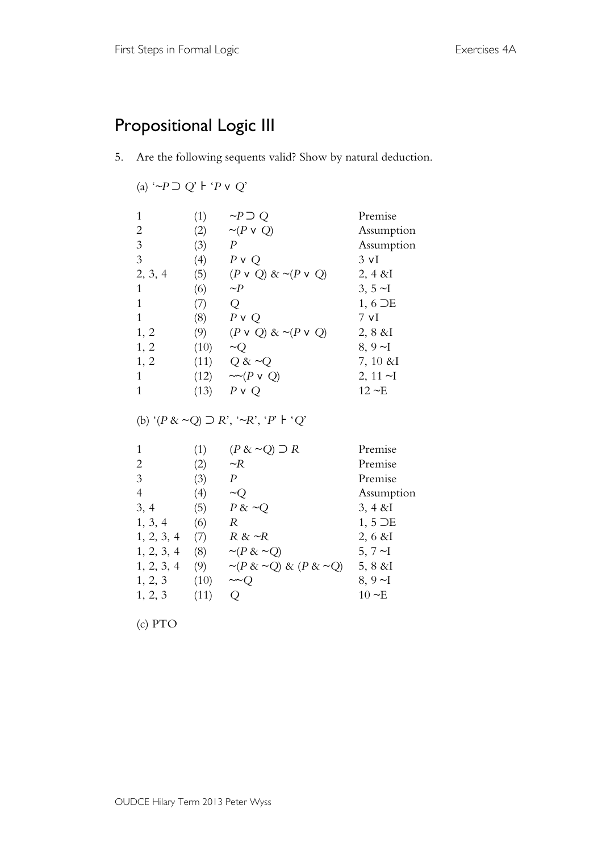## Propositional Logic III

5. Are the following sequents valid? Show by natural deduction.

## (a) '*~P* ⊃ *Q*' ⊦ '*P* ∨ *Q*'

|         | (1)  | $\sim P \supset Q$            | Premise         |
|---------|------|-------------------------------|-----------------|
| 2       | (2)  | $\sim (P \vee Q)$             | Assumption      |
| 3       | (3)  | P                             | Assumption      |
| 3       | (4)  | $P \vee Q$                    | $3 \text{ VI}$  |
| 2, 3, 4 | (5)  | $(P \vee Q)$ & ~ $(P \vee Q)$ | $2, 4 & \& I$   |
|         | (6)  | $\sim P$                      | 3, $5 \sim I$   |
|         | (7)  | Ő                             | $1, 6$ $\neg E$ |
|         | (8)  | $P \vee Q$                    | 7 vI            |
| 1, 2    | (9)  | $(P \vee Q)$ & ~ $(P \vee Q)$ | $2, 8 \& I$     |
| 1, 2    | (10) | $\sim$ O                      | 8, 9 $\neg$ I   |
| 1, 2    | (11) | Q & $\sim Q$                  | $7, 10 \& I$    |
|         | (12) | $\sim(P \vee Q)$              | 2, 11 $\neg$ I  |
|         | (13) | P <sub>V</sub>                | $12 \sim E$     |

(b) '(*P* & ~*Q*) ⊃ *R*', '*~R*', '*P*' ⊦ '*Q*'

| (1)  | $(P \& \sim Q) \supset R$             | Premise            |
|------|---------------------------------------|--------------------|
| (2)  | $\sim R$                              | Premise            |
| (3)  | P                                     | Premise            |
| (4)  | $\sim_O$                              | Assumption         |
| (5)  | $P \& \sim Q$                         | $3, 4 & \& I$      |
| (6)  | R                                     | $1, 5$ $\supset E$ |
| (7)  | $R \& \sim R$                         | $2, 6 \& I$        |
| (8)  | $\sim (P \& \sim Q)$                  | 5, $7 \sim I$      |
| (9)  | $\sim (P \& \sim Q) \& (P \& \sim Q)$ | $5, 8 \& I$        |
| (10) | $\sim Q$                              | $8, 9 - I$         |
| (11) |                                       | $10 \sim E$        |
|      |                                       |                    |

(c) PTO